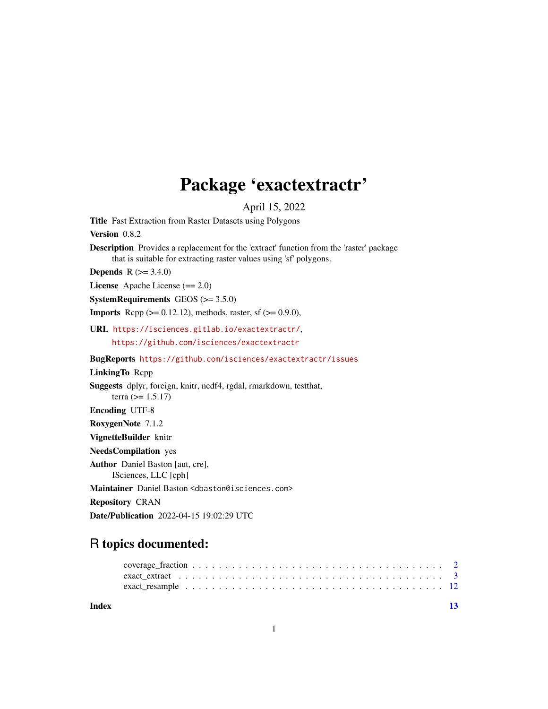## Package 'exactextractr'

April 15, 2022

Title Fast Extraction from Raster Datasets using Polygons Version 0.8.2 Description Provides a replacement for the 'extract' function from the 'raster' package that is suitable for extracting raster values using 'sf' polygons. **Depends**  $R (= 3.4.0)$ License Apache License (== 2.0) SystemRequirements GEOS (>= 3.5.0) **Imports** Rcpp ( $> = 0.12.12$ ), methods, raster, sf ( $> = 0.9.0$ ), URL <https://isciences.gitlab.io/exactextractr/>, <https://github.com/isciences/exactextractr> BugReports <https://github.com/isciences/exactextractr/issues> LinkingTo Rcpp Suggests dplyr, foreign, knitr, ncdf4, rgdal, rmarkdown, testthat, terra ( $> = 1.5.17$ ) Encoding UTF-8 RoxygenNote 7.1.2 VignetteBuilder knitr NeedsCompilation yes Author Daniel Baston [aut, cre], ISciences, LLC [cph] Maintainer Daniel Baston <dbaston@isciences.com> Repository CRAN Date/Publication 2022-04-15 19:02:29 UTC

### R topics documented:

#### **Index** [13](#page-12-0)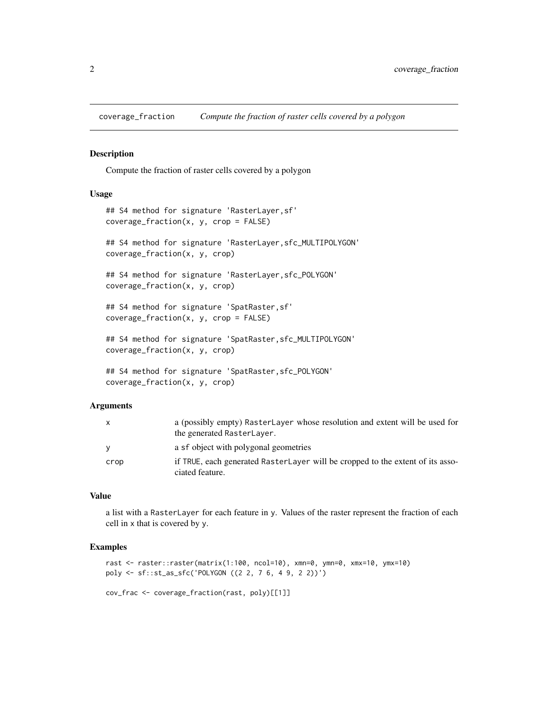<span id="page-1-0"></span>

#### Description

Compute the fraction of raster cells covered by a polygon

#### Usage

```
## S4 method for signature 'RasterLayer,sf'
coverage_fraction(x, y, crop = FALSE)
## S4 method for signature 'RasterLayer,sfc_MULTIPOLYGON'
coverage_fraction(x, y, crop)
## S4 method for signature 'RasterLayer,sfc_POLYGON'
coverage_fraction(x, y, crop)
## S4 method for signature 'SpatRaster,sf'
coverage_fraction(x, y, crop = FALSE)
## S4 method for signature 'SpatRaster,sfc_MULTIPOLYGON'
coverage_fraction(x, y, crop)
## S4 method for signature 'SpatRaster,sfc_POLYGON'
coverage_fraction(x, y, crop)
```
#### Arguments

| X    | a (possibly empty) RasterLayer whose resolution and extent will be used for<br>the generated RasterLayer. |
|------|-----------------------------------------------------------------------------------------------------------|
|      | a sf object with polygonal geometries                                                                     |
| crop | if TRUE, each generated RasterLayer will be cropped to the extent of its asso-<br>ciated feature.         |

#### Value

a list with a RasterLayer for each feature in y. Values of the raster represent the fraction of each cell in x that is covered by y.

#### Examples

```
rast <- raster::raster(matrix(1:100, ncol=10), xmn=0, ymn=0, xmx=10, ymx=10)
poly <- sf::st_as_sfc('POLYGON ((2 2, 7 6, 4 9, 2 2))')
```
cov\_frac <- coverage\_fraction(rast, poly)[[1]]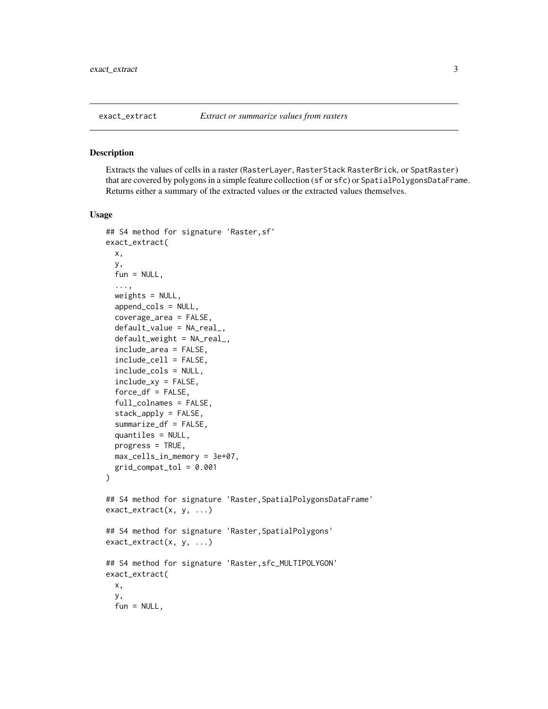<span id="page-2-0"></span>

#### Description

Extracts the values of cells in a raster (RasterLayer, RasterStack RasterBrick, or SpatRaster) that are covered by polygons in a simple feature collection (sf or sfc) or SpatialPolygonsDataFrame. Returns either a summary of the extracted values or the extracted values themselves.

#### Usage

```
## S4 method for signature 'Raster,sf'
exact_extract(
 x,
 y,
  fun = NULL,...,
 weights = NULL,
  append_cols = NULL,
  coverage_area = FALSE,
  default_value = NA_real_,
  default_weight = NA_real_,
  include_area = FALSE,
  include_cell = FALSE,
  include_cols = NULL,
  include_xy = FALSE,
  force_d f = FALSE,
  full_colnames = FALSE,
  stack_apply = FALSE,
  summarize_df = FALSE,
  quantiles = NULL,
 progress = TRUE,
 max_cells_in_memory = 3e+07,
  grid\_compact\_tol = 0.001)
## S4 method for signature 'Raster, SpatialPolygonsDataFrame'
exact_extract(x, y, ...)
## S4 method for signature 'Raster,SpatialPolygons'
exact_extract(x, y, ...)
## S4 method for signature 'Raster,sfc_MULTIPOLYGON'
exact_extract(
 x,
 y,
  fun = NULL,
```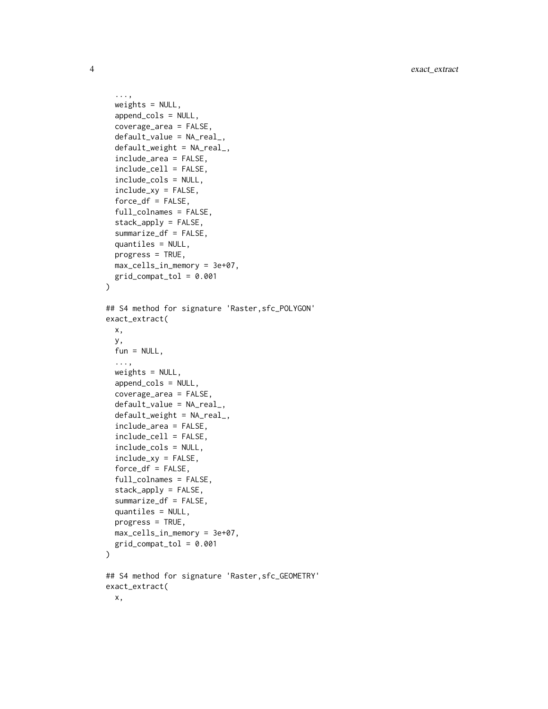```
...,
 weights = NULL,
  append_cols = NULL,
  coverage_area = FALSE,
  default_value = NA_real_,
  default_weight = NA_real_,
  include_area = FALSE,
  include_cell = FALSE,
  include_cols = NULL,
  include_xy = FALSE,
  force_df = FALSE,
  full_colnames = FALSE,
  stack_apply = FALSE,
  summarize_df = FALSE,
  quantiles = NULL,
  progress = TRUE,
 max_cells_in_memory = 3e+07,
  grid\_compact\_tol = 0.001\lambda## S4 method for signature 'Raster,sfc_POLYGON'
exact_extract(
 x,
 y,
  fun = NULL,...,
 weights = NULL,append_cols = NULL,
  coverage_area = FALSE,
  default_value = NA_real_,
  default_weight = NA_real_,
  include_area = FALSE,
  include_cell = FALSE,
  include_cols = NULL,
  include_xy = FALSE,
  force_df = FALSE,
  full_colnames = FALSE,
  stack_apply = FALSE,
  summarize_df = FALSE,
  quantiles = NULL,
 progress = TRUE,
 max_cells_in_memory = 3e+07,
 grid\_compact\_tol = 0.001)
## S4 method for signature 'Raster,sfc_GEOMETRY'
exact_extract(
 x,
```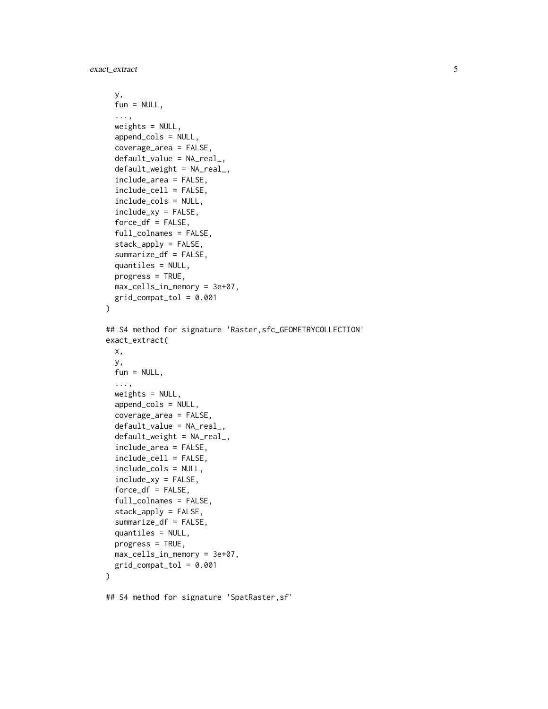```
y,
  fun = NULL,...,
 weights = NULL,
  append_cols = NULL,
  coverage_area = FALSE,
  default_value = NA_real_,
  default_weight = NA_real_,
  include_area = FALSE,
  include_cell = FALSE,
  include_cols = NULL,
  include_xy = FALSE,
  force_d f = FALSE,full_colnames = FALSE,
  stack_apply = FALSE,
  summarize_df = FALSE,
  quantiles = NULL,
 progress = TRUE,
 max_cells_in_memory = 3e+07,
 grid\_compact\_tol = 0.001)
## S4 method for signature 'Raster,sfc_GEOMETRYCOLLECTION'
exact_extract(
 x,
 y,
  fun = NULL,...,
 weights = NULL,append_cols = NULL,
  coverage_area = FALSE,
  default_value = NA_real_default_weight = NA_real_,
  include_area = FALSE,
  include_cell = FALSE,
  include_cols = NULL,
  include_xy = FALSE,
  force_d f = FALSE,full_colnames = FALSE,
  stack_apply = FALSE,
  summarize_df = FALSE,
  quantiles = NULL,
 progress = TRUE,
 max_cells_in_memory = 3e+07,
 grid_compat_tol = 0.001
)
```
## S4 method for signature 'SpatRaster,sf'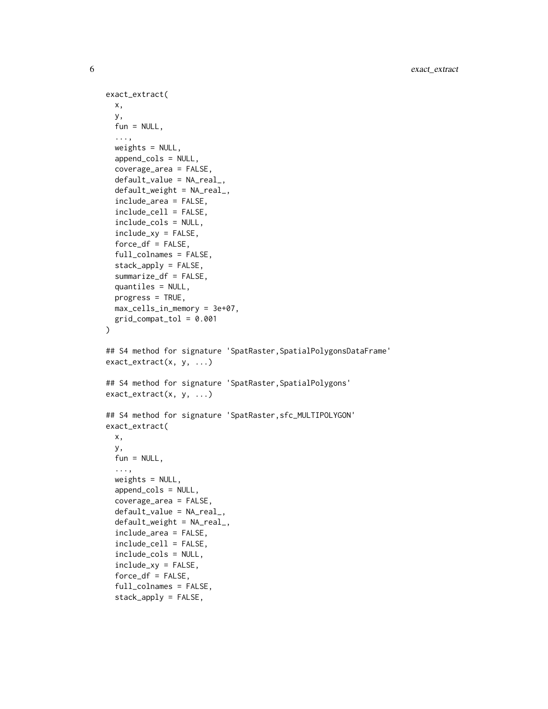```
exact_extract(
 x,
 y,
 fun = NULL,...,
 weights = NULL,
  append_cols = NULL,
  coverage_area = FALSE,
  default_value = NA_real_,
  default_weight = NA_real_,
  include_area = FALSE,
  include_cell = FALSE,
  include_cols = NULL,
  include_xy = FALSE,
  force_d f = FALSE,full_colnames = FALSE,
  stack_apply = FALSE,
  summarize_df = FALSE,
  quantiles = NULL,
 progress = TRUE,
 max_cells_in_memory = 3e+07,
 grid\_compact\_tol = 0.001)
## S4 method for signature 'SpatRaster, SpatialPolygonsDataFrame'
exact_extract(x, y, ...)
## S4 method for signature 'SpatRaster, SpatialPolygons'
exact_extract(x, y, ...)
## S4 method for signature 'SpatRaster,sfc_MULTIPOLYGON'
exact_extract(
 x,
 y,
 fun = NULL,...,
 weights = NULL,append_cols = NULL,
  coverage_area = FALSE,
  default_value = NA_real_,
  default_weight = NA_real_,
  include_area = FALSE,
  include_cell = FALSE,
  include_cols = NULL,
  include_xy = FALSE,
  force_d f = FALSE,full_colnames = FALSE,
  stack_apply = FALSE,
```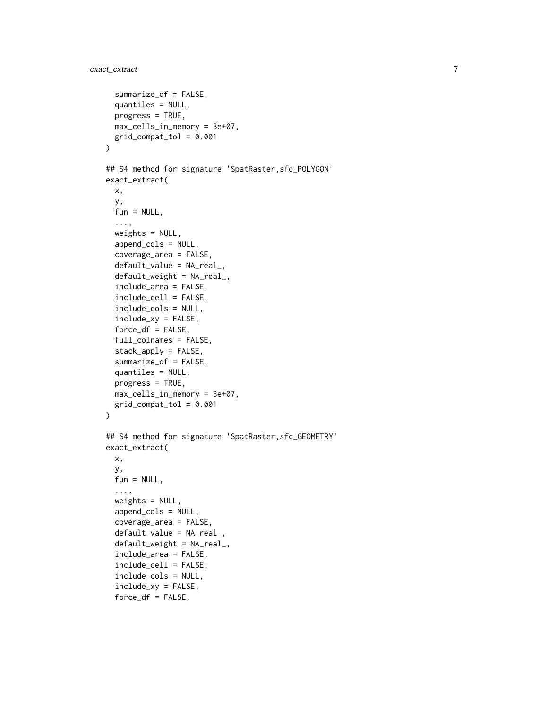```
summarize_df = FALSE,
  quantiles = NULL,
 progress = TRUE,
 max_cells_in_memory = 3e+07,
 grid\_compact\_tol = 0.001)
## S4 method for signature 'SpatRaster,sfc_POLYGON'
exact_extract(
 x,
 y,
  fun = NULL,...,
 weights = NULL,append_cols = NULL,
  coverage_area = FALSE,
  default_value = NA_real_,
  default_weight = NA_real_,
  include_area = FALSE,
  include_cell = FALSE,
  include_cols = NULL,
  include_xy = FALSE,
  force_d f = FALSE,full_colnames = FALSE,
  stack_apply = FALSE,
  summarize_df = FALSE,
  quantiles = NULL,
 progress = TRUE,
 max_cells_in_memory = 3e+07,
 grid\_compact\_tol = 0.001)
## S4 method for signature 'SpatRaster,sfc_GEOMETRY'
exact_extract(
 x,
 y,
  fun = NULL,...,
 weights = NULL,append_cols = NULL,
  coverage_area = FALSE,
  default_value = NA_real_,
  default_weight = NA_real_,
  include_area = FALSE,
  include_cell = FALSE,
  include_cols = NULL,
  include_xy = FALSE,
```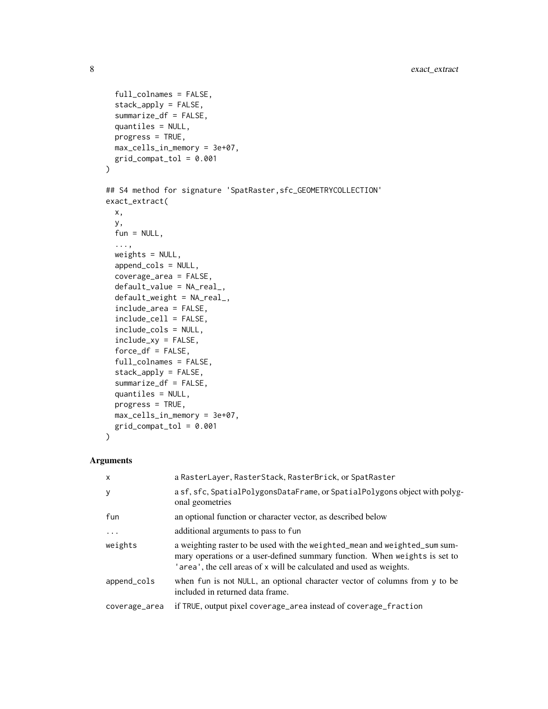```
full_colnames = FALSE,
  stack_apply = FALSE,
  summarize_df = FALSE,
 quantiles = NULL,
 progress = TRUE,
 max_cells_in_memory = 3e+07,
 grid\_compact\_tol = 0.001\mathcal{L}## S4 method for signature 'SpatRaster, sfc_GEOMETRYCOLLECTION'
exact_extract(
 x,
 y,
 fun = NULL,...,
 weights = NULL,append_cols = NULL,
 coverage_area = FALSE,
  default_value = NA_real_,
  default_weight = NA_real_,
  include_area = FALSE,
  include_cell = FALSE,
  include_cols = NULL,
  include_xy = FALSE,
  force_d f = FALSE,full_colnames = FALSE,
  stack_apply = FALSE,
  summarize_df = FALSE,
  quantiles = NULL,
 progress = TRUE,
 max_cells_in_memory = 3e+07,
 grid_compat_tol = 0.001
\mathcal{L}
```

```
Arguments
```

| $\mathsf{x}$  | a RasterLayer, RasterStack, RasterBrick, or SpatRaster                                                                                                                                                                          |
|---------------|---------------------------------------------------------------------------------------------------------------------------------------------------------------------------------------------------------------------------------|
| y             | a sf, sfc, SpatialPolygonsDataFrame, or SpatialPolygons object with polyg-<br>onal geometries                                                                                                                                   |
| fun           | an optional function or character vector, as described below                                                                                                                                                                    |
| $\cdot$       | additional arguments to pass to fun                                                                                                                                                                                             |
| weights       | a weighting raster to be used with the weighted_mean and weighted_sum sum-<br>mary operations or a user-defined summary function. When weights is set to<br>'area', the cell areas of x will be calculated and used as weights. |
| append_cols   | when fun is not NULL, an optional character vector of columns from y to be<br>included in returned data frame.                                                                                                                  |
| coverage_area | if TRUE, output pixel coverage_area instead of coverage_fraction                                                                                                                                                                |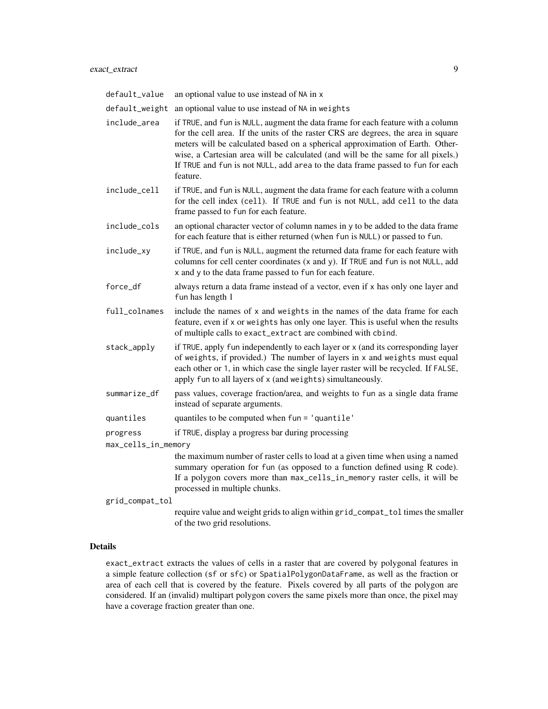| default_value       | an optional value to use instead of NA in x                                                                                                                                                                                                                                                                                                                                                                                             |
|---------------------|-----------------------------------------------------------------------------------------------------------------------------------------------------------------------------------------------------------------------------------------------------------------------------------------------------------------------------------------------------------------------------------------------------------------------------------------|
| default_weight      | an optional value to use instead of NA in weights                                                                                                                                                                                                                                                                                                                                                                                       |
| include_area        | if TRUE, and fun is NULL, augment the data frame for each feature with a column<br>for the cell area. If the units of the raster CRS are degrees, the area in square<br>meters will be calculated based on a spherical approximation of Earth. Other-<br>wise, a Cartesian area will be calculated (and will be the same for all pixels.)<br>If TRUE and fun is not NULL, add area to the data frame passed to fun for each<br>feature. |
| include_cell        | if TRUE, and fun is NULL, augment the data frame for each feature with a column<br>for the cell index (cell). If TRUE and fun is not NULL, add cell to the data<br>frame passed to fun for each feature.                                                                                                                                                                                                                                |
| include_cols        | an optional character vector of column names in y to be added to the data frame<br>for each feature that is either returned (when fun is NULL) or passed to fun.                                                                                                                                                                                                                                                                        |
| include_xy          | if TRUE, and fun is NULL, augment the returned data frame for each feature with<br>columns for cell center coordinates (x and y). If TRUE and fun is not NULL, add<br>x and y to the data frame passed to fun for each feature.                                                                                                                                                                                                         |
| force_df            | always return a data frame instead of a vector, even if x has only one layer and<br>fun has length 1                                                                                                                                                                                                                                                                                                                                    |
| full_colnames       | include the names of x and weights in the names of the data frame for each<br>feature, even if x or weights has only one layer. This is useful when the results<br>of multiple calls to exact_extract are combined with cbind.                                                                                                                                                                                                          |
| stack_apply         | if TRUE, apply fun independently to each layer or x (and its corresponding layer<br>of weights, if provided.) The number of layers in x and weights must equal<br>each other or 1, in which case the single layer raster will be recycled. If FALSE,<br>apply fun to all layers of x (and weights) simultaneously.                                                                                                                      |
| summarize_df        | pass values, coverage fraction/area, and weights to fun as a single data frame<br>instead of separate arguments.                                                                                                                                                                                                                                                                                                                        |
| quantiles           | quantiles to be computed when fun = 'quantile'                                                                                                                                                                                                                                                                                                                                                                                          |
| progress            | if TRUE, display a progress bar during processing                                                                                                                                                                                                                                                                                                                                                                                       |
| max_cells_in_memory |                                                                                                                                                                                                                                                                                                                                                                                                                                         |
|                     | the maximum number of raster cells to load at a given time when using a named<br>summary operation for fun (as opposed to a function defined using R code).<br>If a polygon covers more than max_cells_in_memory raster cells, it will be<br>processed in multiple chunks.                                                                                                                                                              |
| grid_compat_tol     |                                                                                                                                                                                                                                                                                                                                                                                                                                         |
|                     | require value and weight grids to align within grid_compat_tol times the smaller                                                                                                                                                                                                                                                                                                                                                        |

### Details

exact\_extract extracts the values of cells in a raster that are covered by polygonal features in a simple feature collection (sf or sfc) or SpatialPolygonDataFrame, as well as the fraction or area of each cell that is covered by the feature. Pixels covered by all parts of the polygon are considered. If an (invalid) multipart polygon covers the same pixels more than once, the pixel may have a coverage fraction greater than one.

of the two grid resolutions.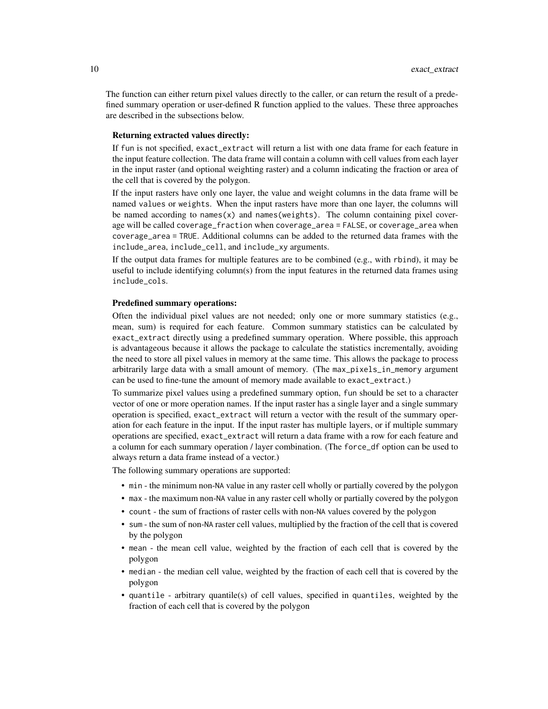The function can either return pixel values directly to the caller, or can return the result of a predefined summary operation or user-defined R function applied to the values. These three approaches are described in the subsections below.

#### Returning extracted values directly:

If fun is not specified, exact\_extract will return a list with one data frame for each feature in the input feature collection. The data frame will contain a column with cell values from each layer in the input raster (and optional weighting raster) and a column indicating the fraction or area of the cell that is covered by the polygon.

If the input rasters have only one layer, the value and weight columns in the data frame will be named values or weights. When the input rasters have more than one layer, the columns will be named according to names $(x)$  and names(weights). The column containing pixel coverage will be called coverage\_fraction when coverage\_area = FALSE, or coverage\_area when coverage\_area = TRUE. Additional columns can be added to the returned data frames with the include\_area, include\_cell, and include\_xy arguments.

If the output data frames for multiple features are to be combined (e.g., with rbind), it may be useful to include identifying column(s) from the input features in the returned data frames using include\_cols.

#### Predefined summary operations:

Often the individual pixel values are not needed; only one or more summary statistics (e.g., mean, sum) is required for each feature. Common summary statistics can be calculated by exact\_extract directly using a predefined summary operation. Where possible, this approach is advantageous because it allows the package to calculate the statistics incrementally, avoiding the need to store all pixel values in memory at the same time. This allows the package to process arbitrarily large data with a small amount of memory. (The max\_pixels\_in\_memory argument can be used to fine-tune the amount of memory made available to exact\_extract.)

To summarize pixel values using a predefined summary option, fun should be set to a character vector of one or more operation names. If the input raster has a single layer and a single summary operation is specified, exact\_extract will return a vector with the result of the summary operation for each feature in the input. If the input raster has multiple layers, or if multiple summary operations are specified, exact\_extract will return a data frame with a row for each feature and a column for each summary operation / layer combination. (The force\_df option can be used to always return a data frame instead of a vector.)

The following summary operations are supported:

- min the minimum non-NA value in any raster cell wholly or partially covered by the polygon
- max the maximum non-NA value in any raster cell wholly or partially covered by the polygon
- count the sum of fractions of raster cells with non-NA values covered by the polygon
- sum the sum of non-NA raster cell values, multiplied by the fraction of the cell that is covered by the polygon
- mean the mean cell value, weighted by the fraction of each cell that is covered by the polygon
- median the median cell value, weighted by the fraction of each cell that is covered by the polygon
- quantile arbitrary quantile(s) of cell values, specified in quantiles, weighted by the fraction of each cell that is covered by the polygon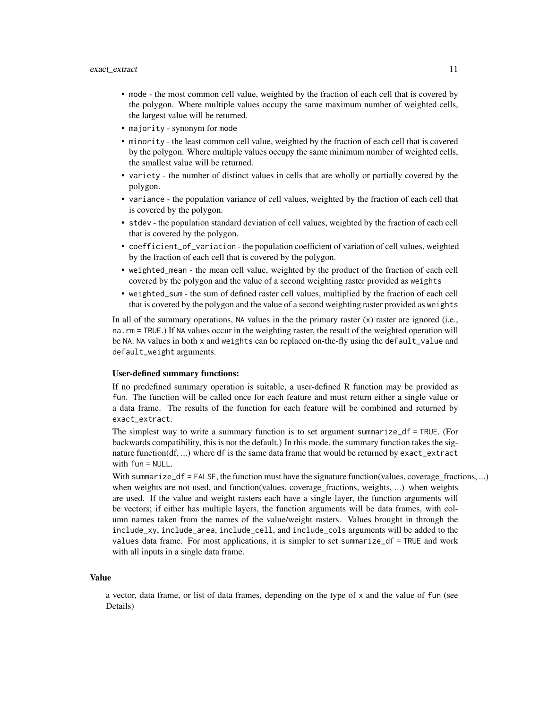- mode the most common cell value, weighted by the fraction of each cell that is covered by the polygon. Where multiple values occupy the same maximum number of weighted cells, the largest value will be returned.
- majority synonym for mode
- minority the least common cell value, weighted by the fraction of each cell that is covered by the polygon. Where multiple values occupy the same minimum number of weighted cells, the smallest value will be returned.
- variety the number of distinct values in cells that are wholly or partially covered by the polygon.
- variance the population variance of cell values, weighted by the fraction of each cell that is covered by the polygon.
- stdev the population standard deviation of cell values, weighted by the fraction of each cell that is covered by the polygon.
- coefficient\_of\_variation the population coefficient of variation of cell values, weighted by the fraction of each cell that is covered by the polygon.
- weighted\_mean the mean cell value, weighted by the product of the fraction of each cell covered by the polygon and the value of a second weighting raster provided as weights
- weighted\_sum the sum of defined raster cell values, multiplied by the fraction of each cell that is covered by the polygon and the value of a second weighting raster provided as weights

In all of the summary operations, NA values in the the primary raster  $(x)$  raster are ignored (i.e., na.rm = TRUE.) If NA values occur in the weighting raster, the result of the weighted operation will be NA. NA values in both x and weights can be replaced on-the-fly using the default\_value and default\_weight arguments.

#### User-defined summary functions:

If no predefined summary operation is suitable, a user-defined R function may be provided as fun. The function will be called once for each feature and must return either a single value or a data frame. The results of the function for each feature will be combined and returned by exact\_extract.

The simplest way to write a summary function is to set argument summarize\_df = TRUE. (For backwards compatibility, this is not the default.) In this mode, the summary function takes the signature function(df, ...) where df is the same data frame that would be returned by exact\_extract with fun = NULL.

With summarize\_df = FALSE, the function must have the signature function(values, coverage\_fractions, ...) when weights are not used, and function(values, coverage\_fractions, weights, ...) when weights are used. If the value and weight rasters each have a single layer, the function arguments will be vectors; if either has multiple layers, the function arguments will be data frames, with column names taken from the names of the value/weight rasters. Values brought in through the include\_xy, include\_area, include\_cell, and include\_cols arguments will be added to the values data frame. For most applications, it is simpler to set summarize\_df = TRUE and work with all inputs in a single data frame.

#### Value

a vector, data frame, or list of data frames, depending on the type of x and the value of fun (see Details)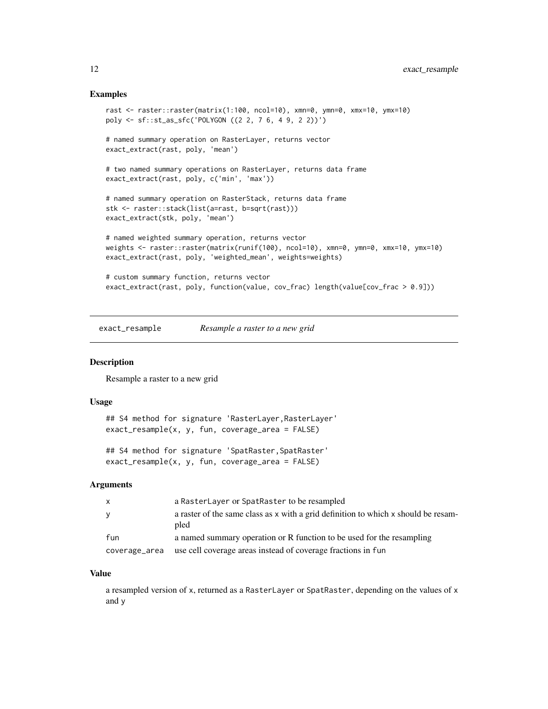#### <span id="page-11-0"></span>Examples

```
rast <- raster::raster(matrix(1:100, ncol=10), xmn=0, ymn=0, xmx=10, ymx=10)
poly <- sf::st_as_sfc('POLYGON ((2 2, 7 6, 4 9, 2 2))')
# named summary operation on RasterLayer, returns vector
exact_extract(rast, poly, 'mean')
# two named summary operations on RasterLayer, returns data frame
exact_extract(rast, poly, c('min', 'max'))
# named summary operation on RasterStack, returns data frame
stk <- raster::stack(list(a=rast, b=sqrt(rast)))
exact_extract(stk, poly, 'mean')
# named weighted summary operation, returns vector
weights <- raster::raster(matrix(runif(100), ncol=10), xmn=0, ymn=0, xmx=10, ymx=10)
exact_extract(rast, poly, 'weighted_mean', weights=weights)
# custom summary function, returns vector
exact_extract(rast, poly, function(value, cov_frac) length(value[cov_frac > 0.9]))
```
exact\_resample *Resample a raster to a new grid*

#### Description

Resample a raster to a new grid

#### Usage

```
## S4 method for signature 'RasterLayer, RasterLayer'
exact_resample(x, y, fun, coverage_area = FALSE)
```

```
## S4 method for signature 'SpatRaster, SpatRaster'
exact_resample(x, y, fun, coverage_area = FALSE)
```
#### Arguments

| x             | a RasterLayer or SpatRaster to be resampled                                                |
|---------------|--------------------------------------------------------------------------------------------|
| У             | a raster of the same class as x with a grid definition to which x should be resam-<br>pled |
| fun           | a named summary operation or R function to be used for the resampling                      |
| coverage_area | use cell coverage areas instead of coverage fractions in fun                               |

#### Value

a resampled version of x, returned as a RasterLayer or SpatRaster, depending on the values of x and y